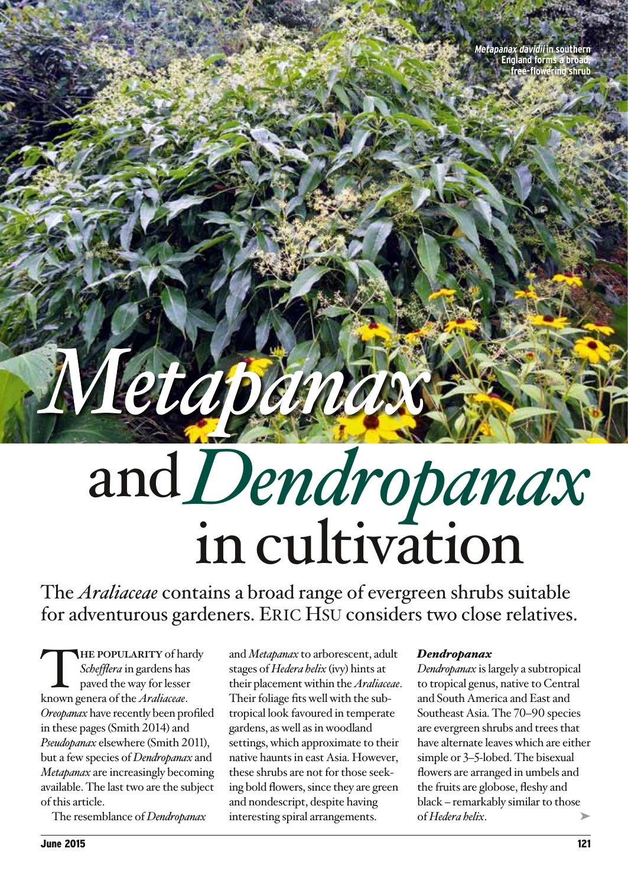**Metapanax davidii in southern England forms a broad, free-flowering shrub**

# and*<sup>D</sup>endropanax* in cultivation

The *Araliaceae* contains a broad range of evergreen shrubs suitable for adventurous gardeners. Eric Hsu considers two close relatives.

*Metapanax*

THE POPULARITY of hardy<br>Schefflera in gardens has<br>paved the way for lesser<br>known genera of the *Araliaceae Schefflera* in gardens has paved the way for lesser known genera of the *Araliaceae*. *Oreopanax* have recently been profiled in these pages (Smith 2014) and *Pseudopanax* elsewhere (Smith 2011), but a few species of *Dendropanax* and *Metapanax* are increasingly becoming available. The last two are the subject of this article.

The resemblance of *Dendropanax*

and *Metapanax* to arborescent, adult stages of *Hedera helix* (ivy) hints at their placement within the *Araliaceae*. Their foliage fits well with the subtropical look favoured in temperate gardens, as well as in woodland settings, which approximate to their native haunts in east Asia. However, these shrubs are not for those seeking bold flowers, since they are green and nondescript, despite having interesting spiral arrangements.

# *Dendropanax*

➤ *Dendropanax* is largely a subtropical to tropical genus, native to Central and South America and East and Southeast Asia. The 70–90 species are evergreen shrubs and trees that have alternate leaves which are either simple or 3–5-lobed. The bisexual flowers are arranged in umbels and the fruits are globose, fleshy and black – remarkably similar to those of *Hedera helix*.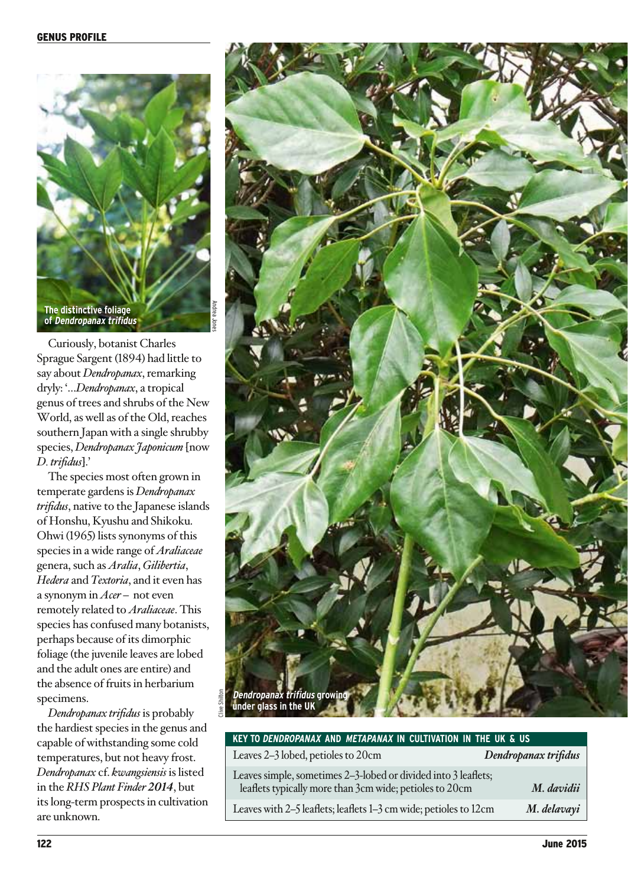

Curiously, botanist Charles Sprague Sargent (1894) had little to say about *Dendropanax*, remarking dryly: '…*Dendropanax*, a tropical genus of trees and shrubs of the New World, as well as of the Old, reaches southern Japan with a single shrubby species, *Dendropanax Japonicum* [now *D. trifidus*].'

The species most often grown in temperate gardens is *Dendropanax trifidus*, native to the Japanese islands of Honshu, Kyushu and Shikoku. Ohwi (1965) lists synonyms of this species in a wide range of *Araliaceae* genera, such as *Aralia*, *Gilibertia*, *Hedera* and *Textoria*, and it even has a synonym in *Acer* – not even remotely related to *Araliaceae*. This species has confused many botanists, perhaps because of its dimorphic foliage (the juvenile leaves are lobed and the adult ones are entire) and the absence of fruits in herbarium specimens.

*Dendropanax trifidus* is probably the hardiest species in the genus and capable of withstanding some cold temperatures, but not heavy frost. *Dendropanax* cf. *kwangsiensis* is listed in the *RHS Plant Finder 2014*, but its long-term prospects in cultivation are unknown.



| KEY TO DENDROPANAX AND METAPANAX IN CULTIVATION IN THE UK & US |
|----------------------------------------------------------------|
|----------------------------------------------------------------|

| Leaves 2–3 lobed, petioles to 20cm                                                                                        | Dendropanax trifidus |
|---------------------------------------------------------------------------------------------------------------------------|----------------------|
| Leaves simple, sometimes 2-3-lobed or divided into 3 leaflets;<br>leaflets typically more than 3cm wide; petioles to 20cm | M. davidii           |
| Leaves with 2-5 leaflets; leaflets 1-3 cm wide; petioles to 12cm                                                          | M. delavayi          |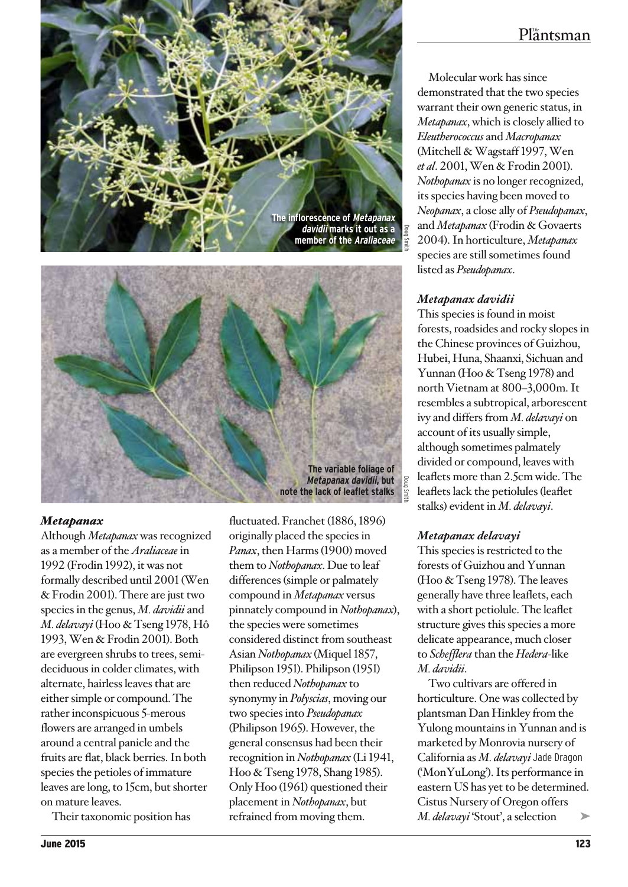



### *Metapanax*

Although *Metapanax* was recognized as a member of the *Araliaceae* in 1992 (Frodin 1992), it was not formally described until 2001 (Wen & Frodin 2001). There are just two species in the genus, *M. davidii* and *M. delavayi* (Hoo & Tseng 1978, Hô 1993, Wen & Frodin 2001). Both are evergreen shrubs to trees, semideciduous in colder climates, with alternate, hairless leaves that are either simple or compound. The rather inconspicuous 5-merous flowers are arranged in umbels around a central panicle and the fruits are flat, black berries. In both species the petioles of immature leaves are long, to 15cm, but shorter on mature leaves.

Their taxonomic position has

fluctuated. Franchet (1886, 1896) originally placed the species in *Panax*, then Harms (1900) moved them to *Nothopanax*. Due to leaf differences (simple or palmately compound in *Metapanax* versus pinnately compound in *Nothopanax*), the species were sometimes considered distinct from southeast Asian *Nothopanax* (Miquel 1857, Philipson 1951). Philipson (1951) then reduced *Nothopanax* to synonymy in *Polyscias*, moving our two species into *Pseudopanax* (Philipson 1965). However, the general consensus had been their recognition in *Nothopanax* (Li 1941, Hoo & Tseng 1978, Shang 1985). Only Hoo (1961) questioned their placement in *Nothopanax*, but refrained from moving them.

# $Pl<sub>a</sub><sup>m</sup>$ ntsman

Molecular work has since demonstrated that the two species warrant their own generic status, in *Metapanax*, which is closely allied to *Eleutherococcus* and *Macropanax* (Mitchell & Wagstaff 1997, Wen *et al*. 2001, Wen & Frodin 2001). *Nothopanax* is no longer recognized, its species having been moved to *Neopanax*, a close ally of *Pseudopanax*, and *Metapanax* (Frodin & Govaerts 2004). In horticulture, *Metapanax* species are still sometimes found listed as *Pseudopanax*.

## *Metapanax davidii*

This species is found in moist forests, roadsides and rocky slopes in the Chinese provinces of Guizhou, Hubei, Huna, Shaanxi, Sichuan and Yunnan (Hoo & Tseng 1978) and north Vietnam at 800–3,000m. It resembles a subtropical, arborescent ivy and differs from *M. delavayi* on account of its usually simple, although sometimes palmately divided or compound, leaves with leaflets more than 2.5cm wide. The leaflets lack the petiolules (leaflet stalks) evident in *M. delavayi*.

# *Metapanax delavayi*

This species is restricted to the forests of Guizhou and Yunnan (Hoo & Tseng 1978). The leaves generally have three leaflets, each with a short petiolule. The leaflet structure gives this species a more delicate appearance, much closer to *Schefflera* than the *Hedera*-like *M. davidii*.

➤ Two cultivars are offered in horticulture. One was collected by plantsman Dan Hinkley from the Yulong mountains in Yunnan and is marketed by Monrovia nursery of California as *M. delavayi* Jade Dragon ('MonYuLong'). Its performance in eastern US has yet to be determined. Cistus Nursery of Oregon offers *M. delavayi* 'Stout', a selection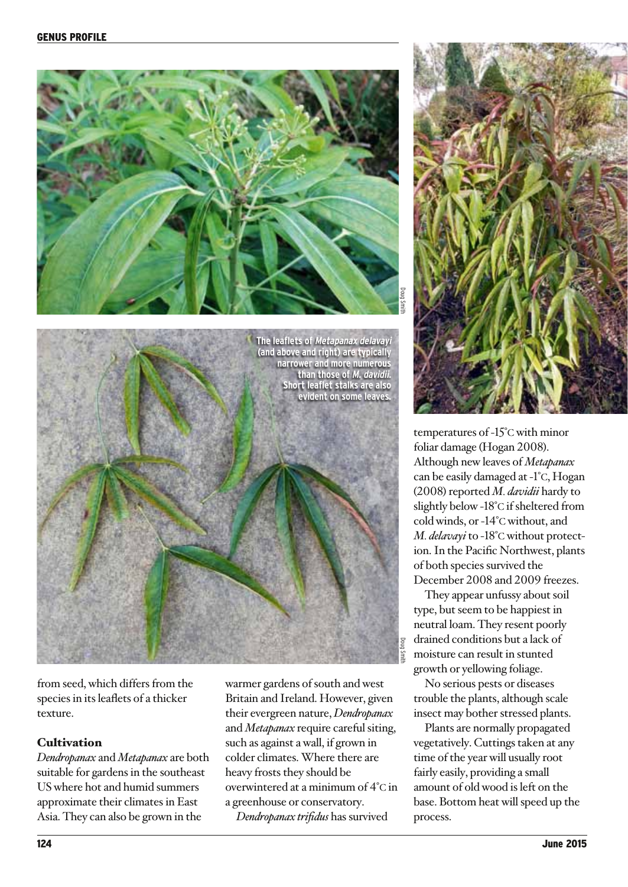



temperatures of -15°c with minor foliar damage (Hogan 2008). Although new leaves of *Metapanax* can be easily damaged at -1°c, Hogan (2008) reported *M. davidii* hardy to slightly below -18°c if sheltered from cold winds, or -14°c without, and *M. delavayi* to -18°c without protection. In the Pacific Northwest, plants of both species survived the December 2008 and 2009 freezes.

They appear unfussy about soil type, but seem to be happiest in neutral loam. They resent poorly drained conditions but a lack of moisture can result in stunted growth or yellowing foliage.

No serious pests or diseases trouble the plants, although scale insect may bother stressed plants.

Plants are normally propagated vegetatively. Cuttings taken at any time of the year will usually root fairly easily, providing a small amount of old wood is left on the base. Bottom heat will speed up the process.



from seed, which differs from the species in its leaflets of a thicker texture.

# **Cultivation**

*Dendropanax* and *Metapanax* are both suitable for gardens in the southeast US where hot and humid summers approximate their climates in East Asia. They can also be grown in the

warmer gardens of south and west Britain and Ireland. However, given their evergreen nature, *Dendropanax* and *Metapanax* require careful siting, such as against a wall, if grown in colder climates. Where there are heavy frosts they should be overwintered at a minimum of 4°c in a greenhouse or conservatory.

*Dendropanax trifidus* has survived